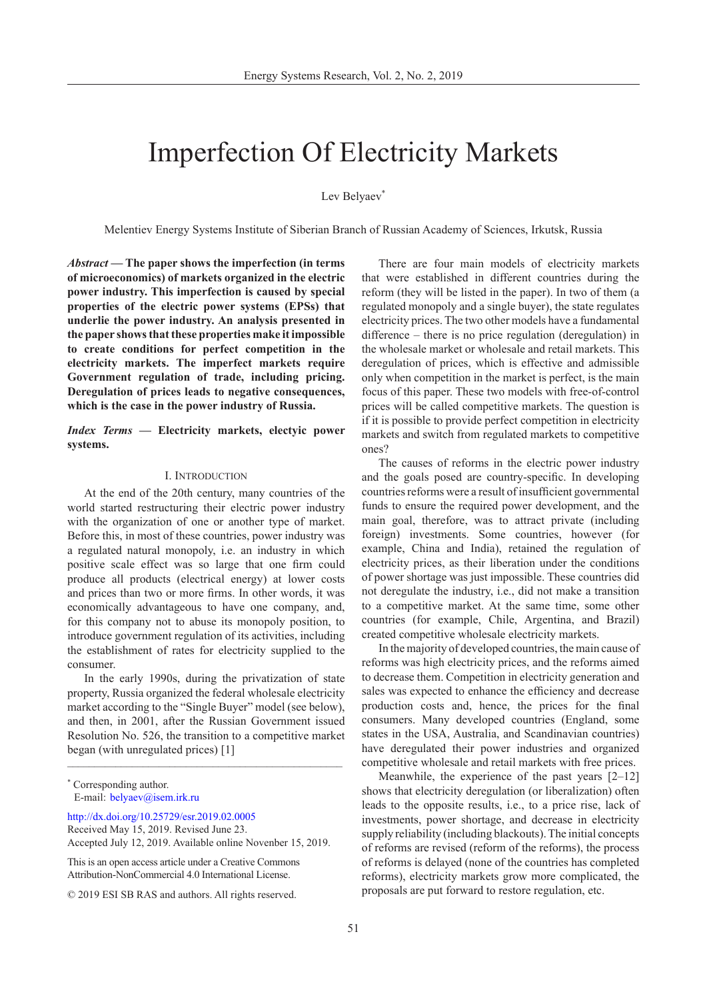# Imperfection Of Electricity Markets

Lev Belyaev<sup>\*</sup>

Melentiev Energy Systems Institute of Siberian Branch of Russian Academy of Sciences, Irkutsk, Russia

*Abstract* **— The paper shows the imperfection (in terms of microeconomics) of markets organized in the electric power industry. This imperfection is caused by special properties of the electric power systems (EPSs) that underlie the power industry. An analysis presented in the paper shows that these properties make it impossible to create conditions for perfect competition in the electricity markets. The imperfect markets require Government regulation of trade, including pricing. Deregulation of prices leads to negative consequences, which is the case in the power industry of Russia.**

*Index Terms* **— Electricity markets, electyic power systems.**

# I. Introduction

At the end of the 20th century, many countries of the world started restructuring their electric power industry with the organization of one or another type of market. Before this, in most of these countries, power industry was a regulated natural monopoly, i.e. an industry in which positive scale effect was so large that one firm could produce all products (electrical energy) at lower costs and prices than two or more firms. In other words, it was economically advantageous to have one company, and, for this company not to abuse its monopoly position, to introduce government regulation of its activities, including the establishment of rates for electricity supplied to the consumer.

In the early 1990s, during the privatization of state property, Russia organized the federal wholesale electricity market according to the "Single Buyer" model (see below), and then, in 2001, after the Russian Government issued Resolution No. 526, the transition to a competitive market began (with unregulated prices) [1]

\_\_\_\_\_\_\_\_\_\_\_\_\_\_\_\_\_\_\_\_\_\_\_\_\_\_\_\_\_\_\_\_\_\_\_\_\_\_\_\_\_\_\_\_\_\_\_\_\_\_\_

[http://dx.doi.org/10.25729/esr.2019.02.000](http://dx.doi.org/10.25729/esr.2019.02.0005)5 Received May 15, 2019. Revised June 23. Accepted July 12, 2019. Available online Novenber 15, 2019.

This is an open access article under a Creative Commons Attribution-NonCommercial 4.0 International License.

There are four main models of electricity markets that were established in different countries during the reform (they will be listed in the paper). In two of them (a regulated monopoly and a single buyer), the state regulates electricity prices. The two other models have a fundamental difference – there is no price regulation (deregulation) in the wholesale market or wholesale and retail markets. This deregulation of prices, which is effective and admissible only when competition in the market is perfect, is the main focus of this paper. These two models with free-of-control prices will be called competitive markets. The question is if it is possible to provide perfect competition in electricity markets and switch from regulated markets to competitive ones?

The causes of reforms in the electric power industry and the goals posed are country-specific. In developing countries reforms were a result of insufficient governmental funds to ensure the required power development, and the main goal, therefore, was to attract private (including foreign) investments. Some countries, however (for example, China and India), retained the regulation of electricity prices, as their liberation under the conditions of power shortage was just impossible. These countries did not deregulate the industry, i.e., did not make a transition to a competitive market. At the same time, some other countries (for example, Chile, Argentina, and Brazil) created competitive wholesale electricity markets.

In the majority of developed countries, the main cause of reforms was high electricity prices, and the reforms aimed to decrease them. Competition in electricity generation and sales was expected to enhance the efficiency and decrease production costs and, hence, the prices for the final consumers. Many developed countries (England, some states in the USA, Australia, and Scandinavian countries) have deregulated their power industries and organized competitive wholesale and retail markets with free prices.

Meanwhile, the experience of the past years [2–12] shows that electricity deregulation (or liberalization) often leads to the opposite results, i.e., to a price rise, lack of investments, power shortage, and decrease in electricity supply reliability (including blackouts). The initial concepts of reforms are revised (reform of the reforms), the process of reforms is delayed (none of the countries has completed reforms), electricity markets grow more complicated, the proposals are put forward to restore regulation, etc.

<sup>\*</sup> Corresponding author. E-mail: [belyaev@isem.irk.ru](mailto:belyaev%40isem.irk.ru?subject=)

<sup>© 2019</sup> ESI SB RAS and authors. All rights reserved.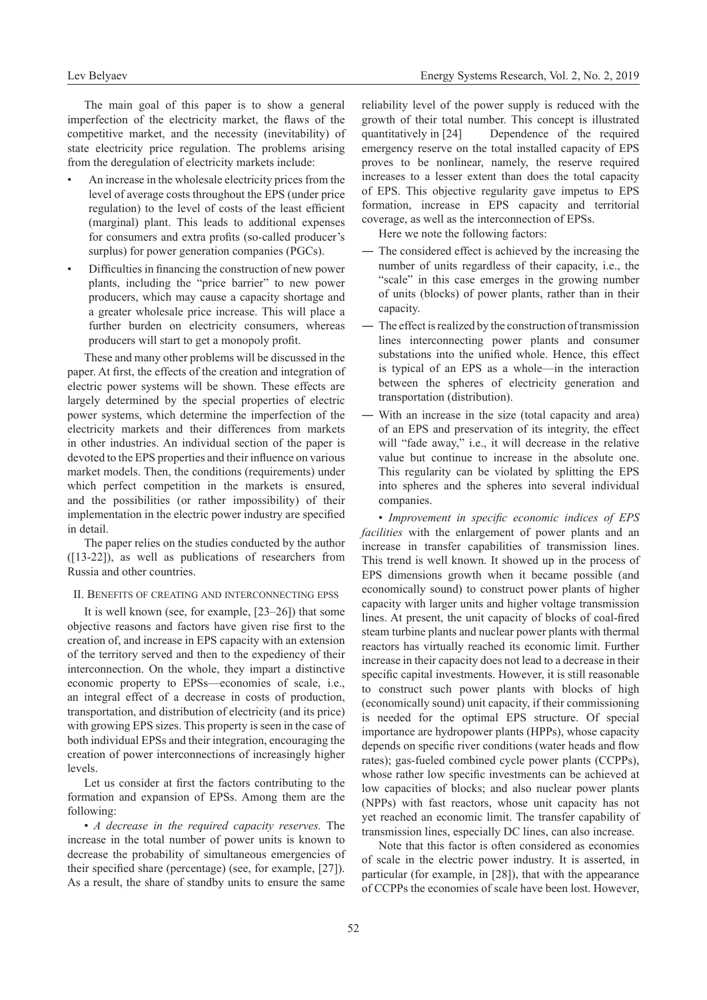The main goal of this paper is to show a general imperfection of the electricity market, the flaws of the competitive market, and the necessity (inevitability) of state electricity price regulation. The problems arising from the deregulation of electricity markets include:

- An increase in the wholesale electricity prices from the level of average costs throughout the EPS (under price regulation) to the level of costs of the least efficient (marginal) plant. This leads to additional expenses for consumers and extra profits (so-called producer's surplus) for power generation companies (PGCs).
- Difficulties in financing the construction of new power plants, including the "price barrier" to new power producers, which may cause a capacity shortage and a greater wholesale price increase. This will place a further burden on electricity consumers, whereas producers will start to get a monopoly profit.

These and many other problems will be discussed in the paper. At first, the effects of the creation and integration of electric power systems will be shown. These effects are largely determined by the special properties of electric power systems, which determine the imperfection of the electricity markets and their differences from markets in other industries. An individual section of the paper is devoted to the EPS properties and their influence on various market models. Then, the conditions (requirements) under which perfect competition in the markets is ensured, and the possibilities (or rather impossibility) of their implementation in the electric power industry are specified in detail.

The paper relies on the studies conducted by the author ([13-22]), as well as publications of researchers from Russia and other countries.

# II. Benefits of creating and interconnecting epss

It is well known (see, for example, [23–26]) that some objective reasons and factors have given rise first to the creation of, and increase in EPS capacity with an extension of the territory served and then to the expediency of their interconnection. On the whole, they impart a distinctive economic property to EPSs—economies of scale, i.e., an integral effect of a decrease in costs of production, transportation, and distribution of electricity (and its price) with growing EPS sizes. This property is seen in the case of both individual EPSs and their integration, encouraging the creation of power interconnections of increasingly higher levels.

Let us consider at first the factors contributing to the formation and expansion of EPSs. Among them are the following:

• *A decrease in the required capacity reserves.* The increase in the total number of power units is known to decrease the probability of simultaneous emergencies of their specified share (percentage) (see, for example, [27]). As a result, the share of standby units to ensure the same

reliability level of the power supply is reduced with the growth of their total number. This concept is illustrated quantitatively in [24] Dependence of the required emergency reserve on the total installed capacity of EPS proves to be nonlinear, namely, the reserve required increases to a lesser extent than does the total capacity of EPS. This objective regularity gave impetus to EPS formation, increase in EPS capacity and territorial coverage, as well as the interconnection of EPSs.

Here we note the following factors:

- ― The considered effect is achieved by the increasing the number of units regardless of their capacity, i.e., the "scale" in this case emerges in the growing number of units (blocks) of power plants, rather than in their capacity.
- ― The effect is realized by the construction of transmission lines interconnecting power plants and consumer substations into the unified whole. Hence, this effect is typical of an EPS as a whole—in the interaction between the spheres of electricity generation and transportation (distribution).
- With an increase in the size (total capacity and area) of an EPS and preservation of its integrity, the effect will "fade away," i.e., it will decrease in the relative value but continue to increase in the absolute one. This regularity can be violated by splitting the EPS into spheres and the spheres into several individual companies.

• *Improvement in specific economic indices of EPS facilities* with the enlargement of power plants and an increase in transfer capabilities of transmission lines. This trend is well known. It showed up in the process of EPS dimensions growth when it became possible (and economically sound) to construct power plants of higher capacity with larger units and higher voltage transmission lines. At present, the unit capacity of blocks of coal-fired steam turbine plants and nuclear power plants with thermal reactors has virtually reached its economic limit. Further increase in their capacity does not lead to a decrease in their specific capital investments. However, it is still reasonable to construct such power plants with blocks of high (economically sound) unit capacity, if their commissioning is needed for the optimal EPS structure. Of special importance are hydropower plants (HPPs), whose capacity depends on specific river conditions (water heads and flow rates); gas-fueled combined cycle power plants (CCPPs), whose rather low specific investments can be achieved at low capacities of blocks; and also nuclear power plants (NPPs) with fast reactors, whose unit capacity has not yet reached an economic limit. The transfer capability of transmission lines, especially DC lines, can also increase.

Note that this factor is often considered as economies of scale in the electric power industry. It is asserted, in particular (for example, in [28]), that with the appearance of CCPPs the economies of scale have been lost. However,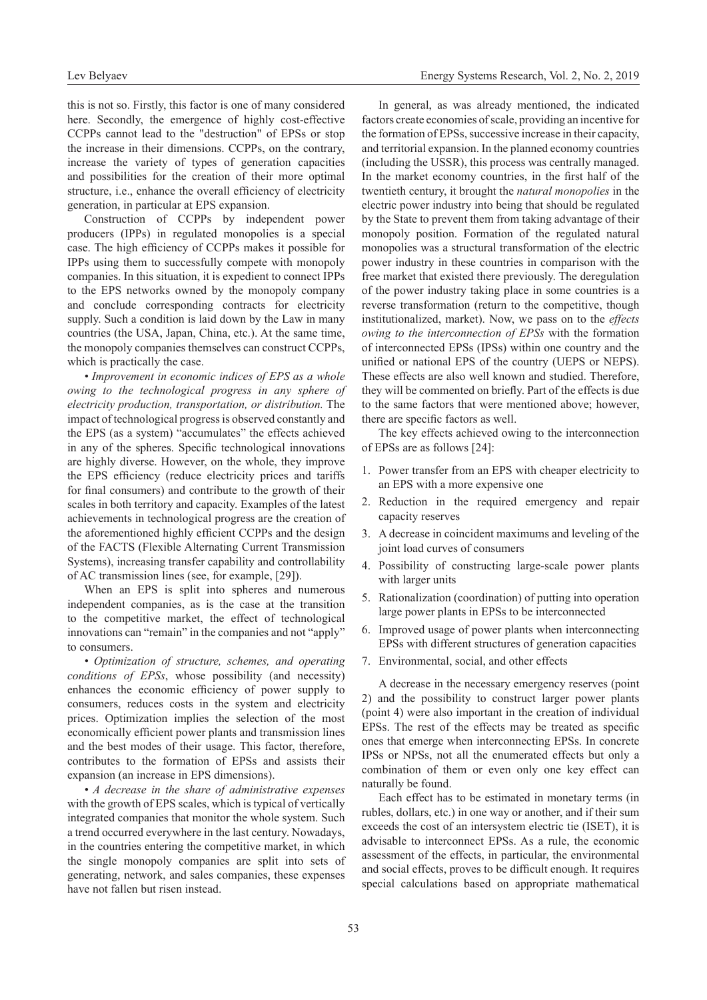this is not so. Firstly, this factor is one of many considered here. Secondly, the emergence of highly cost-effective CCPPs cannot lead to the "destruction" of EPSs or stop the increase in their dimensions. CCPPs, on the contrary, increase the variety of types of generation capacities and possibilities for the creation of their more optimal structure, i.e., enhance the overall efficiency of electricity generation, in particular at EPS expansion.

Construction of CCPPs by independent power producers (IPPs) in regulated monopolies is a special case. The high efficiency of CCPPs makes it possible for IPPs using them to successfully compete with monopoly companies. In this situation, it is expedient to connect IPPs to the EPS networks owned by the monopoly company and conclude corresponding contracts for electricity supply. Such a condition is laid down by the Law in many countries (the USA, Japan, China, etc.). At the same time, the monopoly companies themselves can construct CCPPs, which is practically the case.

*• Improvement in economic indices of EPS as a whole owing to the technological progress in any sphere of electricity production, transportation, or distribution.* The impact of technological progress is observed constantly and the EPS (as a system) "accumulates" the effects achieved in any of the spheres. Specific technological innovations are highly diverse. However, on the whole, they improve the EPS efficiency (reduce electricity prices and tariffs for final consumers) and contribute to the growth of their scales in both territory and capacity. Examples of the latest achievements in technological progress are the creation of the aforementioned highly efficient CCPPs and the design of the FACTS (Flexible Alternating Current Transmission Systems), increasing transfer capability and controllability of AC transmission lines (see, for example, [29]).

When an EPS is split into spheres and numerous independent companies, as is the case at the transition to the competitive market, the effect of technological innovations can "remain" in the companies and not "apply" to consumers.

*• Optimization of structure, schemes, and operating conditions of EPSs*, whose possibility (and necessity) enhances the economic efficiency of power supply to consumers, reduces costs in the system and electricity prices. Optimization implies the selection of the most economically efficient power plants and transmission lines and the best modes of their usage. This factor, therefore, contributes to the formation of EPSs and assists their expansion (an increase in EPS dimensions).

*• A decrease in the share of administrative expenses* with the growth of EPS scales, which is typical of vertically integrated companies that monitor the whole system. Such a trend occurred everywhere in the last century. Nowadays, in the countries entering the competitive market, in which the single monopoly companies are split into sets of generating, network, and sales companies, these expenses have not fallen but risen instead.

In general, as was already mentioned, the indicated factors create economies of scale, providing an incentive for the formation of EPSs, successive increase in their capacity, and territorial expansion. In the planned economy countries (including the USSR), this process was centrally managed. In the market economy countries, in the first half of the twentieth century, it brought the *natural monopolies* in the electric power industry into being that should be regulated by the State to prevent them from taking advantage of their monopoly position. Formation of the regulated natural monopolies was a structural transformation of the electric power industry in these countries in comparison with the free market that existed there previously. The deregulation of the power industry taking place in some countries is a reverse transformation (return to the competitive, though institutionalized, market). Now, we pass on to the *effects owing to the interconnection of EPSs* with the formation of interconnected EPSs (IPSs) within one country and the unified or national EPS of the country (UEPS or NEPS). These effects are also well known and studied. Therefore, they will be commented on briefly. Part of the effects is due to the same factors that were mentioned above; however, there are specific factors as well.

The key effects achieved owing to the interconnection of EPSs are as follows [24]:

- 1. Power transfer from an EPS with cheaper electricity to an EPS with a more expensive one
- 2. Reduction in the required emergency and repair capacity reserves
- 3. A decrease in coincident maximums and leveling of the joint load curves of consumers
- 4. Possibility of constructing large-scale power plants with larger units
- 5. Rationalization (coordination) of putting into operation large power plants in EPSs to be interconnected
- 6. Improved usage of power plants when interconnecting EPSs with different structures of generation capacities
- 7. Environmental, social, and other effects

A decrease in the necessary emergency reserves (point 2) and the possibility to construct larger power plants (point 4) were also important in the creation of individual EPSs. The rest of the effects may be treated as specific ones that emerge when interconnecting EPSs. In concrete IPSs or NPSs, not all the enumerated effects but only a combination of them or even only one key effect can naturally be found.

Each effect has to be estimated in monetary terms (in rubles, dollars, etc.) in one way or another, and if their sum exceeds the cost of an intersystem electric tie (ISET), it is advisable to interconnect EPSs. As a rule, the economic assessment of the effects, in particular, the environmental and social effects, proves to be difficult enough. It requires special calculations based on appropriate mathematical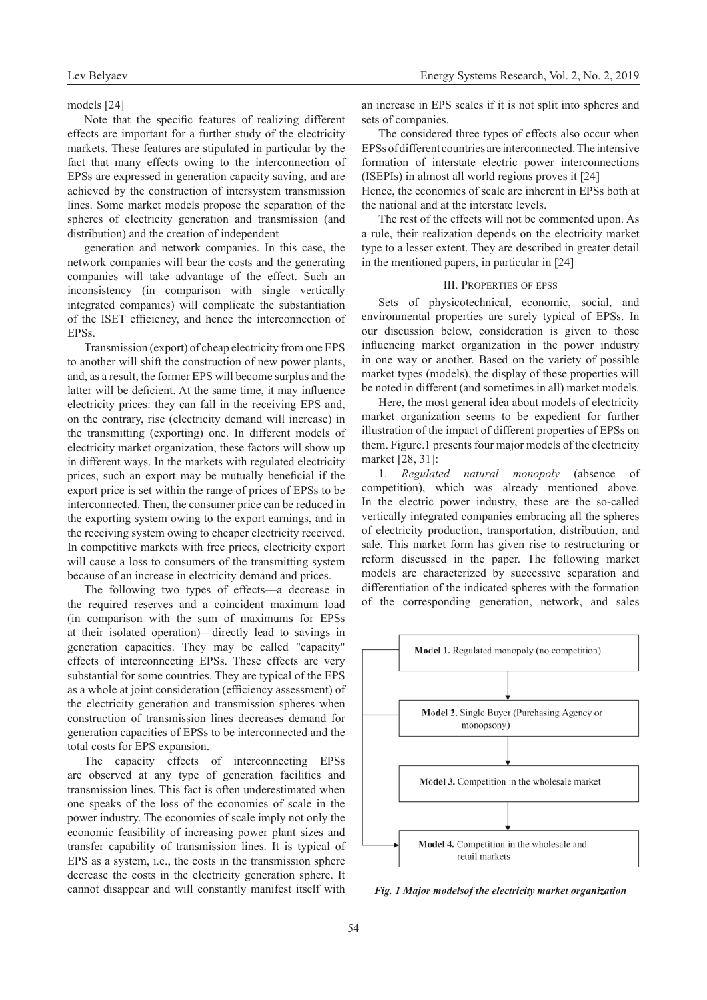#### models [24]

Note that the specific features of realizing different effects are important for a further study of the electricity markets. These features are stipulated in particular by the fact that many effects owing to the interconnection of EPSs are expressed in generation capacity saving, and are achieved by the construction of intersystem transmission lines. Some market models propose the separation of the spheres of electricity generation and transmission (and distribution) and the creation of independent

generation and network companies. In this case, the network companies will bear the costs and the generating companies will take advantage of the effect. Such an inconsistency (in comparison with single vertically integrated companies) will complicate the substantiation of the ISET efficiency, and hence the interconnection of EPSs.

Transmission (export) of cheap electricity from one EPS to another will shift the construction of new power plants, and, as a result, the former EPS will become surplus and the latter will be deficient. At the same time, it may influence electricity prices: they can fall in the receiving EPS and, on the contrary, rise (electricity demand will increase) in the transmitting (exporting) one. In different models of electricity market organization, these factors will show up in different ways. In the markets with regulated electricity prices, such an export may be mutually beneficial if the export price is set within the range of prices of EPSs to be interconnected. Then, the consumer price can be reduced in the exporting system owing to the export earnings, and in the receiving system owing to cheaper electricity received. In competitive markets with free prices, electricity export will cause a loss to consumers of the transmitting system because of an increase in electricity demand and prices.

The following two types of effects—a decrease in the required reserves and a coincident maximum load (in comparison with the sum of maximums for EPSs at their isolated operation)—directly lead to savings in generation capacities. They may be called "capacity" effects of interconnecting EPSs. These effects are very substantial for some countries. They are typical of the EPS as a whole at joint consideration (efficiency assessment) of the electricity generation and transmission spheres when construction of transmission lines decreases demand for generation capacities of EPSs to be interconnected and the total costs for EPS expansion.

The capacity effects of interconnecting EPSs are observed at any type of generation facilities and transmission lines. This fact is often underestimated when one speaks of the loss of the economies of scale in the power industry. The economies of scale imply not only the economic feasibility of increasing power plant sizes and transfer capability of transmission lines. It is typical of EPS as a system, i.e., the costs in the transmission sphere decrease the costs in the electricity generation sphere. It cannot disappear and will constantly manifest itself with

an increase in EPS scales if it is not split into spheres and sets of companies.

The considered three types of effects also occur when EPSs of different countries are interconnected. The intensive formation of interstate electric power interconnections (ISEPIs) in almost all world regions proves it [24]

Hence, the economies of scale are inherent in EPSs both at the national and at the interstate levels.

The rest of the effects will not be commented upon. As a rule, their realization depends on the electricity market type to a lesser extent. They are described in greater detail in the mentioned papers, in particular in [24]

### III. Properties of epss

Sets of physicotechnical, economic, social, and environmental properties are surely typical of EPSs. In our discussion below, consideration is given to those influencing market organization in the power industry in one way or another. Based on the variety of possible market types (models), the display of these properties will be noted in different (and sometimes in all) market models.

Here, the most general idea about models of electricity market organization seems to be expedient for further illustration of the impact of different properties of EPSs on them. Figure.1 presents four major models of the electricity market [28, 31]:

1. *Regulated natural monopoly* (absence of competition), which was already mentioned above. In the electric power industry, these are the so-called vertically integrated companies embracing all the spheres of electricity production, transportation, distribution, and sale. This market form has given rise to restructuring or reform discussed in the paper. The following market models are characterized by successive separation and differentiation of the indicated spheres with the formation of the corresponding generation, network, and sales



*Fig. 1 Major modelsof the electricity market organization*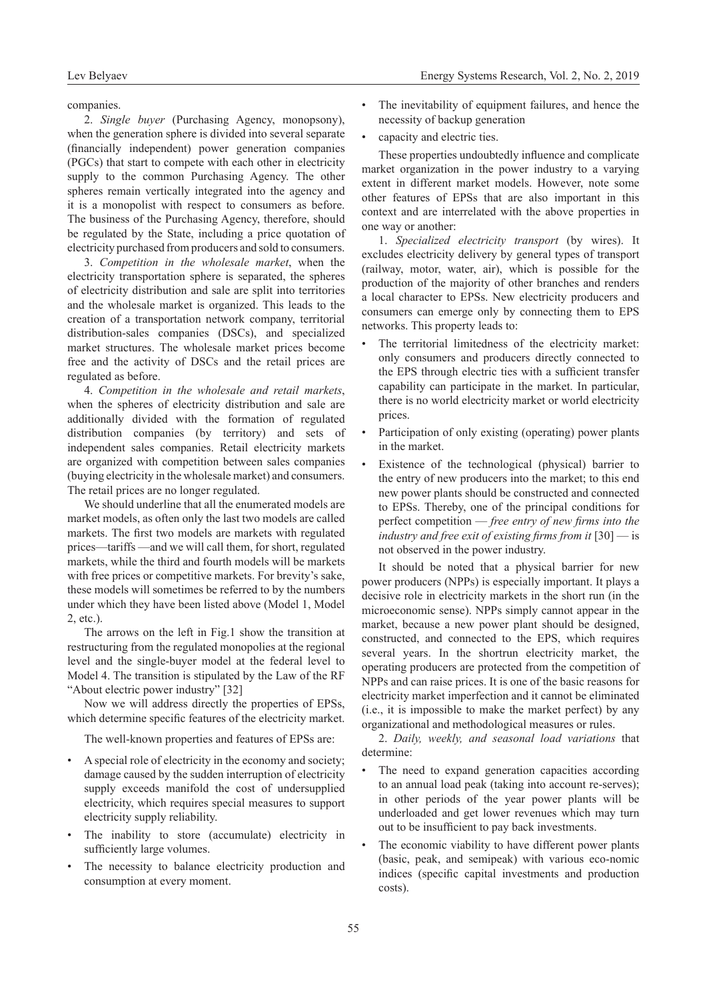companies.

2. *Single buyer* (Purchasing Agency, monopsony), when the generation sphere is divided into several separate (financially independent) power generation companies (PGCs) that start to compete with each other in electricity supply to the common Purchasing Agency. The other spheres remain vertically integrated into the agency and it is a monopolist with respect to consumers as before. The business of the Purchasing Agency, therefore, should be regulated by the State, including a price quotation of electricity purchased from producers and sold to consumers.

3. *Competition in the wholesale market*, when the electricity transportation sphere is separated, the spheres of electricity distribution and sale are split into territories and the wholesale market is organized. This leads to the creation of a transportation network company, territorial distribution-sales companies (DSCs), and specialized market structures. The wholesale market prices become free and the activity of DSCs and the retail prices are regulated as before.

4. *Competition in the wholesale and retail markets*, when the spheres of electricity distribution and sale are additionally divided with the formation of regulated distribution companies (by territory) and sets of independent sales companies. Retail electricity markets are organized with competition between sales companies (buying electricity in the wholesale market) and consumers. The retail prices are no longer regulated.

We should underline that all the enumerated models are market models, as often only the last two models are called markets. The first two models are markets with regulated prices—tariffs —and we will call them, for short, regulated markets, while the third and fourth models will be markets with free prices or competitive markets. For brevity's sake, these models will sometimes be referred to by the numbers under which they have been listed above (Model 1, Model 2, etc.).

The arrows on the left in Fig.1 show the transition at restructuring from the regulated monopolies at the regional level and the single-buyer model at the federal level to Model 4. The transition is stipulated by the Law of the RF "About electric power industry" [32]

Now we will address directly the properties of EPSs, which determine specific features of the electricity market.

The well-known properties and features of EPSs are:

- A special role of electricity in the economy and society; damage caused by the sudden interruption of electricity supply exceeds manifold the cost of undersupplied electricity, which requires special measures to support electricity supply reliability.
- The inability to store (accumulate) electricity in sufficiently large volumes.
- The necessity to balance electricity production and consumption at every moment.
- The inevitability of equipment failures, and hence the necessity of backup generation
- capacity and electric ties.

These properties undoubtedly influence and complicate market organization in the power industry to a varying extent in different market models. However, note some other features of EPSs that are also important in this context and are interrelated with the above properties in one way or another:

1. *Specialized electricity transport* (by wires). It excludes electricity delivery by general types of transport (railway, motor, water, air), which is possible for the production of the majority of other branches and renders a local character to EPSs. New electricity producers and consumers can emerge only by connecting them to EPS networks. This property leads to:

- The territorial limitedness of the electricity market: only consumers and producers directly connected to the EPS through electric ties with a sufficient transfer capability can participate in the market. In particular, there is no world electricity market or world electricity prices.
- Participation of only existing (operating) power plants in the market.
- Existence of the technological (physical) barrier to the entry of new producers into the market; to this end new power plants should be constructed and connected to EPSs. Thereby, one of the principal conditions for perfect competition — *free entry of new firms into the industry and free exit of existing firms from it* [30] — is not observed in the power industry.

It should be noted that a physical barrier for new power producers (NPPs) is especially important. It plays a decisive role in electricity markets in the short run (in the microeconomic sense). NPPs simply cannot appear in the market, because a new power plant should be designed, constructed, and connected to the EPS, which requires several years. In the shortrun electricity market, the operating producers are protected from the competition of NPPs and can raise prices. It is one of the basic reasons for electricity market imperfection and it cannot be eliminated (i.e., it is impossible to make the market perfect) by any organizational and methodological measures or rules.

2. *Daily, weekly, and seasonal load variations* that determine:

- The need to expand generation capacities according to an annual load peak (taking into account re-serves); in other periods of the year power plants will be underloaded and get lower revenues which may turn out to be insufficient to pay back investments.
- The economic viability to have different power plants (basic, peak, and semipeak) with various eco-nomic indices (specific capital investments and production costs).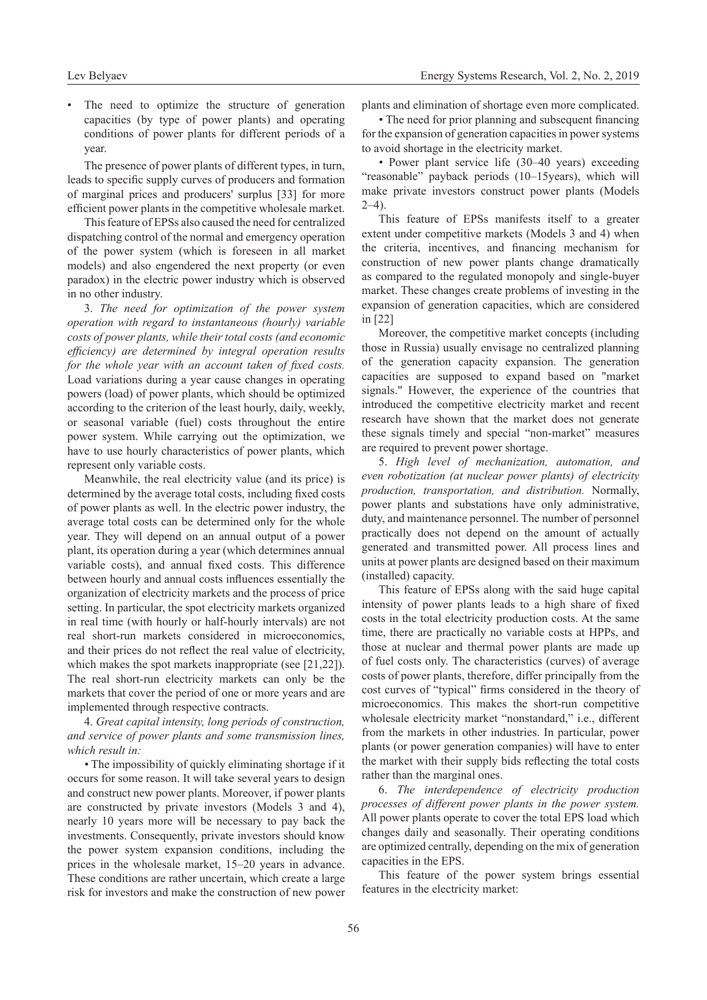The need to optimize the structure of generation capacities (by type of power plants) and operating conditions of power plants for different periods of a year.

The presence of power plants of different types, in turn, leads to specific supply curves of producers and formation of marginal prices and producers' surplus [33] for more efficient power plants in the competitive wholesale market.

This feature of EPSs also caused the need for centralized dispatching control of the normal and emergency operation of the power system (which is foreseen in all market models) and also engendered the next property (or even paradox) in the electric power industry which is observed in no other industry.

3. *The need for optimization of the power system operation with regard to instantaneous (hourly) variable costs of power plants, while their total costs (and economic efficiency) are determined by integral operation results for the whole year with an account taken of fixed costs.* Load variations during a year cause changes in operating powers (load) of power plants, which should be optimized according to the criterion of the least hourly, daily, weekly, or seasonal variable (fuel) costs throughout the entire power system. While carrying out the optimization, we have to use hourly characteristics of power plants, which represent only variable costs.

Meanwhile, the real electricity value (and its price) is determined by the average total costs, including fixed costs of power plants as well. In the electric power industry, the average total costs can be determined only for the whole year. They will depend on an annual output of a power plant, its operation during a year (which determines annual variable costs), and annual fixed costs. This difference between hourly and annual costs influences essentially the organization of electricity markets and the process of price setting. In particular, the spot electricity markets organized in real time (with hourly or half-hourly intervals) are not real short-run markets considered in microeconomics, and their prices do not reflect the real value of electricity, which makes the spot markets inappropriate (see [21,22]). The real short-run electricity markets can only be the markets that cover the period of one or more years and are implemented through respective contracts.

4. *Great capital intensity, long periods of construction, and service of power plants and some transmission lines, which result in:*

*•* The impossibility of quickly eliminating shortage if it occurs for some reason. It will take several years to design and construct new power plants. Moreover, if power plants are constructed by private investors (Models 3 and 4), nearly 10 years more will be necessary to pay back the investments. Consequently, private investors should know the power system expansion conditions, including the prices in the wholesale market, 15–20 years in advance. These conditions are rather uncertain, which create a large risk for investors and make the construction of new power plants and elimination of shortage even more complicated.

*•* The need for prior planning and subsequent financing for the expansion of generation capacities in power systems to avoid shortage in the electricity market.

• Power plant service life (30–40 years) exceeding "reasonable" payback periods (10–15years), which will make private investors construct power plants (Models  $2-4)$ .

This feature of EPSs manifests itself to a greater extent under competitive markets (Models 3 and 4) when the criteria, incentives, and financing mechanism for construction of new power plants change dramatically as compared to the regulated monopoly and single-buyer market. These changes create problems of investing in the expansion of generation capacities, which are considered in [22]

Moreover, the competitive market concepts (including those in Russia) usually envisage no centralized planning of the generation capacity expansion. The generation capacities are supposed to expand based on "market signals." However, the experience of the countries that introduced the competitive electricity market and recent research have shown that the market does not generate these signals timely and special "non-market" measures are required to prevent power shortage.

5. *High level of mechanization, automation, and even robotization (at nuclear power plants) of electricity production, transportation, and distribution.* Normally, power plants and substations have only administrative, duty, and maintenance personnel. The number of personnel practically does not depend on the amount of actually generated and transmitted power. All process lines and units at power plants are designed based on their maximum (installed) capacity.

This feature of EPSs along with the said huge capital intensity of power plants leads to a high share of fixed costs in the total electricity production costs. At the same time, there are practically no variable costs at HPPs, and those at nuclear and thermal power plants are made up of fuel costs only. The characteristics (curves) of average costs of power plants, therefore, differ principally from the cost curves of "typical" firms considered in the theory of microeconomics. This makes the short-run competitive wholesale electricity market "nonstandard," i.e., different from the markets in other industries. In particular, power plants (or power generation companies) will have to enter the market with their supply bids reflecting the total costs rather than the marginal ones.

6. *The interdependence of electricity production processes of different power plants in the power system.* All power plants operate to cover the total EPS load which changes daily and seasonally. Their operating conditions are optimized centrally, depending on the mix of generation capacities in the EPS.

This feature of the power system brings essential features in the electricity market: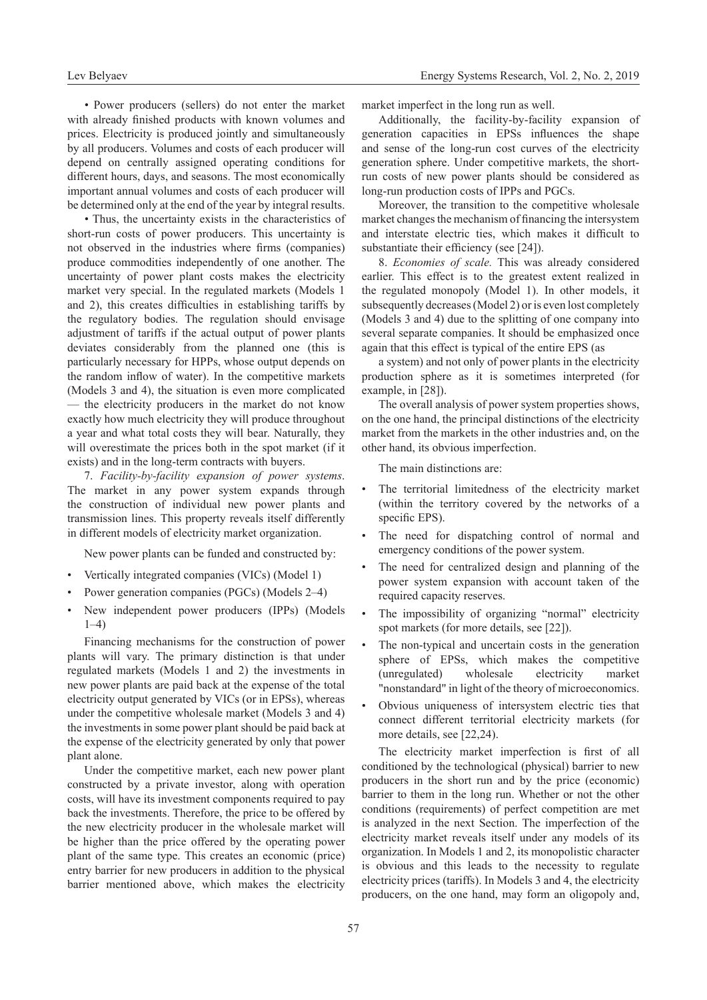*•* Power producers (sellers) do not enter the market with already finished products with known volumes and prices. Electricity is produced jointly and simultaneously by all producers. Volumes and costs of each producer will depend on centrally assigned operating conditions for different hours, days, and seasons. The most economically important annual volumes and costs of each producer will be determined only at the end of the year by integral results.

*•* Thus, the uncertainty exists in the characteristics of short-run costs of power producers. This uncertainty is not observed in the industries where firms (companies) produce commodities independently of one another. The uncertainty of power plant costs makes the electricity market very special. In the regulated markets (Models 1 and 2), this creates difficulties in establishing tariffs by the regulatory bodies. The regulation should envisage adjustment of tariffs if the actual output of power plants deviates considerably from the planned one (this is particularly necessary for HPPs, whose output depends on the random inflow of water). In the competitive markets (Models 3 and 4), the situation is even more complicated — the electricity producers in the market do not know exactly how much electricity they will produce throughout a year and what total costs they will bear. Naturally, they will overestimate the prices both in the spot market (if it exists) and in the long-term contracts with buyers.

7. *Facility-by-facility expansion of power systems*. The market in any power system expands through the construction of individual new power plants and transmission lines. This property reveals itself differently in different models of electricity market organization.

New power plants can be funded and constructed by:

- Vertically integrated companies (VICs) (Model 1)
- Power generation companies (PGCs) (Models 2–4)
- New independent power producers (IPPs) (Models 1–4)

Financing mechanisms for the construction of power plants will vary. The primary distinction is that under regulated markets (Models 1 and 2) the investments in new power plants are paid back at the expense of the total electricity output generated by VICs (or in EPSs), whereas under the competitive wholesale market (Models 3 and 4) the investments in some power plant should be paid back at the expense of the electricity generated by only that power plant alone.

Under the competitive market, each new power plant constructed by a private investor, along with operation costs, will have its investment components required to pay back the investments. Therefore, the price to be offered by the new electricity producer in the wholesale market will be higher than the price offered by the operating power plant of the same type. This creates an economic (price) entry barrier for new producers in addition to the physical barrier mentioned above, which makes the electricity market imperfect in the long run as well.

Additionally, the facility-by-facility expansion of generation capacities in EPSs influences the shape and sense of the long-run cost curves of the electricity generation sphere. Under competitive markets, the shortrun costs of new power plants should be considered as long-run production costs of IPPs and PGCs.

Moreover, the transition to the competitive wholesale market changes the mechanism of financing the intersystem and interstate electric ties, which makes it difficult to substantiate their efficiency (see [24]).

8. *Economies of scale.* This was already considered earlier. This effect is to the greatest extent realized in the regulated monopoly (Model 1). In other models, it subsequently decreases (Model 2) or is even lost completely (Models 3 and 4) due to the splitting of one company into several separate companies. It should be emphasized once again that this effect is typical of the entire EPS (as

a system) and not only of power plants in the electricity production sphere as it is sometimes interpreted (for example, in [28]).

The overall analysis of power system properties shows, on the one hand, the principal distinctions of the electricity market from the markets in the other industries and, on the other hand, its obvious imperfection.

The main distinctions are:

- The territorial limitedness of the electricity market (within the territory covered by the networks of a specific EPS).
- The need for dispatching control of normal and emergency conditions of the power system.
- The need for centralized design and planning of the power system expansion with account taken of the required capacity reserves.
- The impossibility of organizing "normal" electricity spot markets (for more details, see [22]).
- The non-typical and uncertain costs in the generation sphere of EPSs, which makes the competitive (unregulated) wholesale electricity market "nonstandard" in light of the theory of microeconomics.
- Obvious uniqueness of intersystem electric ties that connect different territorial electricity markets (for more details, see [22,24).

The electricity market imperfection is first of all conditioned by the technological (physical) barrier to new producers in the short run and by the price (economic) barrier to them in the long run. Whether or not the other conditions (requirements) of perfect competition are met is analyzed in the next Section. The imperfection of the electricity market reveals itself under any models of its organization. In Models 1 and 2, its monopolistic character is obvious and this leads to the necessity to regulate electricity prices (tariffs). In Models 3 and 4, the electricity producers, on the one hand, may form an oligopoly and,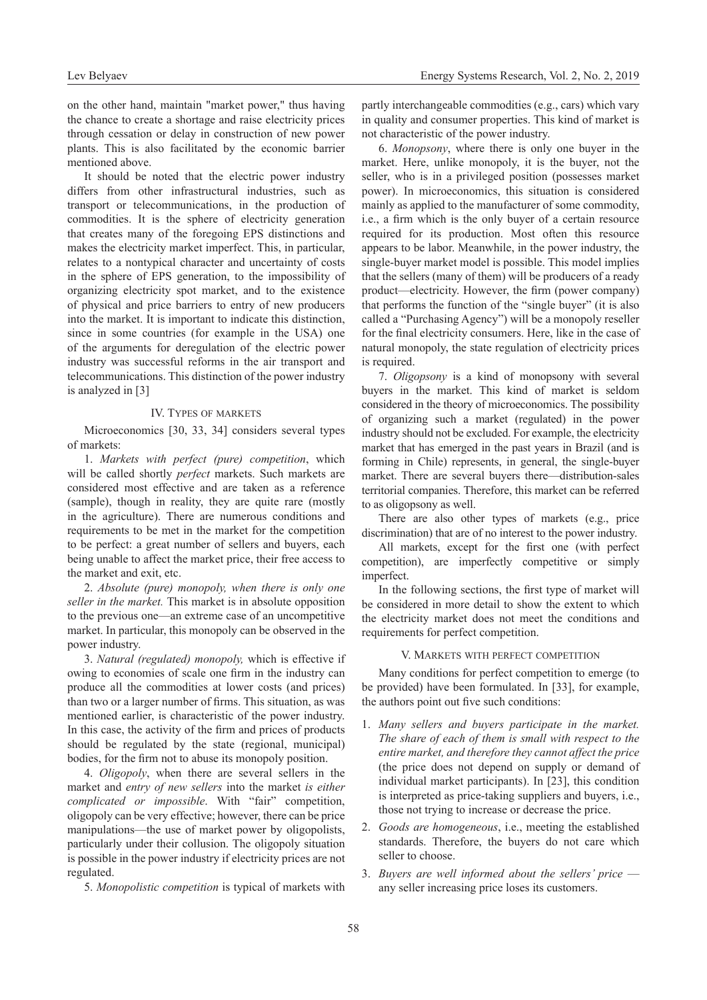on the other hand, maintain "market power," thus having the chance to create a shortage and raise electricity prices through cessation or delay in construction of new power plants. This is also facilitated by the economic barrier mentioned above.

It should be noted that the electric power industry differs from other infrastructural industries, such as transport or telecommunications, in the production of commodities. It is the sphere of electricity generation that creates many of the foregoing EPS distinctions and makes the electricity market imperfect. This, in particular, relates to a nontypical character and uncertainty of costs in the sphere of EPS generation, to the impossibility of organizing electricity spot market, and to the existence of physical and price barriers to entry of new producers into the market. It is important to indicate this distinction, since in some countries (for example in the USA) one of the arguments for deregulation of the electric power industry was successful reforms in the air transport and telecommunications. This distinction of the power industry is analyzed in [3]

# IV. Types of markets

Microeconomics [30, 33, 34] considers several types of markets:

1. *Markets with perfect (pure) competition*, which will be called shortly *perfect* markets. Such markets are considered most effective and are taken as a reference (sample), though in reality, they are quite rare (mostly in the agriculture). There are numerous conditions and requirements to be met in the market for the competition to be perfect: a great number of sellers and buyers, each being unable to affect the market price, their free access to the market and exit, etc.

2. *Absolute (pure) monopoly, when there is only one seller in the market.* This market is in absolute opposition to the previous one—an extreme case of an uncompetitive market. In particular, this monopoly can be observed in the power industry.

3. *Natural (regulated) monopoly,* which is effective if owing to economies of scale one firm in the industry can produce all the commodities at lower costs (and prices) than two or a larger number of firms. This situation, as was mentioned earlier, is characteristic of the power industry. In this case, the activity of the firm and prices of products should be regulated by the state (regional, municipal) bodies, for the firm not to abuse its monopoly position.

4. *Oligopoly*, when there are several sellers in the market and *entry of new sellers* into the market *is either complicated or impossible*. With "fair" competition, oligopoly can be very effective; however, there can be price manipulations—the use of market power by oligopolists, particularly under their collusion. The oligopoly situation is possible in the power industry if electricity prices are not regulated.

5. *Monopolistic competition* is typical of markets with

partly interchangeable commodities (e.g., cars) which vary in quality and consumer properties. This kind of market is not characteristic of the power industry.

6. *Monopsony*, where there is only one buyer in the market. Here, unlike monopoly, it is the buyer, not the seller, who is in a privileged position (possesses market power). In microeconomics, this situation is considered mainly as applied to the manufacturer of some commodity, i.e., a firm which is the only buyer of a certain resource required for its production. Most often this resource appears to be labor. Meanwhile, in the power industry, the single-buyer market model is possible. This model implies that the sellers (many of them) will be producers of a ready product—electricity. However, the firm (power company) that performs the function of the "single buyer" (it is also called a "Purchasing Agency") will be a monopoly reseller for the final electricity consumers. Here, like in the case of natural monopoly, the state regulation of electricity prices is required.

7. *Oligopsony* is a kind of monopsony with several buyers in the market. This kind of market is seldom considered in the theory of microeconomics. The possibility of organizing such a market (regulated) in the power industry should not be excluded. For example, the electricity market that has emerged in the past years in Brazil (and is forming in Chile) represents, in general, the single-buyer market. There are several buyers there—distribution-sales territorial companies. Therefore, this market can be referred to as oligopsony as well.

There are also other types of markets (e.g., price discrimination) that are of no interest to the power industry.

All markets, except for the first one (with perfect competition), are imperfectly competitive or simply imperfect.

In the following sections, the first type of market will be considered in more detail to show the extent to which the electricity market does not meet the conditions and requirements for perfect competition.

# V. Markets with perfect competition

Many conditions for perfect competition to emerge (to be provided) have been formulated. In [33], for example, the authors point out five such conditions:

- 1. *Many sellers and buyers participate in the market. The share of each of them is small with respect to the entire market, and therefore they cannot affect the price* (the price does not depend on supply or demand of individual market participants). In [23], this condition is interpreted as price-taking suppliers and buyers, i.e., those not trying to increase or decrease the price.
- 2. *Goods are homogeneous*, i.e., meeting the established standards. Therefore, the buyers do not care which seller to choose.
- 3. *Buyers are well informed about the sellers' price*  any seller increasing price loses its customers.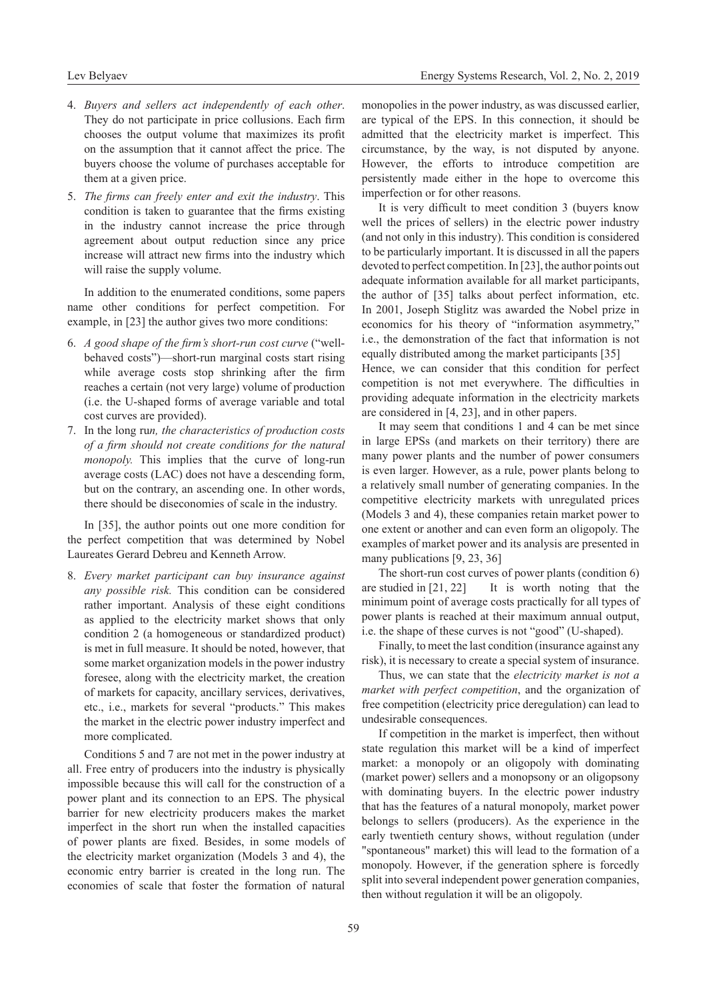- 4. *Buyers and sellers act independently of each other*. They do not participate in price collusions. Each firm chooses the output volume that maximizes its profit on the assumption that it cannot affect the price. The buyers choose the volume of purchases acceptable for them at a given price.
- 5. *The firms can freely enter and exit the industry*. This condition is taken to guarantee that the firms existing in the industry cannot increase the price through agreement about output reduction since any price increase will attract new firms into the industry which will raise the supply volume.

In addition to the enumerated conditions, some papers name other conditions for perfect competition. For example, in [23] the author gives two more conditions:

- 6. *A good shape of the firm's short-run cost curve* ("wellbehaved costs")—short-run marginal costs start rising while average costs stop shrinking after the firm reaches a certain (not very large) volume of production (i.e. the U-shaped forms of average variable and total cost curves are provided).
- 7. In the long ru*n, the characteristics of production costs of a firm should not create conditions for the natural monopoly.* This implies that the curve of long-run average costs (LAC) does not have a descending form, but on the contrary, an ascending one. In other words, there should be diseconomies of scale in the industry.

In [35], the author points out one more condition for the perfect competition that was determined by Nobel Laureates Gerard Debreu and Kenneth Arrow.

8. *Every market participant can buy insurance against any possible risk.* This condition can be considered rather important. Analysis of these eight conditions as applied to the electricity market shows that only condition 2 (a homogeneous or standardized product) is met in full measure. It should be noted, however, that some market organization models in the power industry foresee, along with the electricity market, the creation of markets for capacity, ancillary services, derivatives, etc., i.e., markets for several "products." This makes the market in the electric power industry imperfect and more complicated.

Conditions 5 and 7 are not met in the power industry at all. Free entry of producers into the industry is physically impossible because this will call for the construction of a power plant and its connection to an EPS. The physical barrier for new electricity producers makes the market imperfect in the short run when the installed capacities of power plants are fixed. Besides, in some models of the electricity market organization (Models 3 and 4), the economic entry barrier is created in the long run. The economies of scale that foster the formation of natural

monopolies in the power industry, as was discussed earlier, are typical of the EPS. In this connection, it should be admitted that the electricity market is imperfect. This circumstance, by the way, is not disputed by anyone. However, the efforts to introduce competition are persistently made either in the hope to overcome this imperfection or for other reasons.

It is very difficult to meet condition 3 (buyers know well the prices of sellers) in the electric power industry (and not only in this industry). This condition is considered to be particularly important. It is discussed in all the papers devoted to perfect competition. In [23], the author points out adequate information available for all market participants, the author of [35] talks about perfect information, etc. In 2001, Joseph Stiglitz was awarded the Nobel prize in economics for his theory of "information asymmetry," i.e., the demonstration of the fact that information is not equally distributed among the market participants [35] Hence, we can consider that this condition for perfect competition is not met everywhere. The difficulties in providing adequate information in the electricity markets are considered in [4, 23], and in other papers.

It may seem that conditions 1 and 4 can be met since in large EPSs (and markets on their territory) there are many power plants and the number of power consumers is even larger. However, as a rule, power plants belong to a relatively small number of generating companies. In the competitive electricity markets with unregulated prices (Models 3 and 4), these companies retain market power to one extent or another and can even form an oligopoly. The examples of market power and its analysis are presented in many publications [9, 23, 36]

The short-run cost curves of power plants (condition 6) are studied in [21, 22] It is worth noting that the minimum point of average costs practically for all types of power plants is reached at their maximum annual output, i.e. the shape of these curves is not "good" (U-shaped).

Finally, to meet the last condition (insurance against any risk), it is necessary to create a special system of insurance.

Thus, we can state that the *electricity market is not a market with perfect competition*, and the organization of free competition (electricity price deregulation) can lead to undesirable consequences.

If competition in the market is imperfect, then without state regulation this market will be a kind of imperfect market: a monopoly or an oligopoly with dominating (market power) sellers and a monopsony or an oligopsony with dominating buyers. In the electric power industry that has the features of a natural monopoly, market power belongs to sellers (producers). As the experience in the early twentieth century shows, without regulation (under "spontaneous" market) this will lead to the formation of a monopoly. However, if the generation sphere is forcedly split into several independent power generation companies, then without regulation it will be an oligopoly.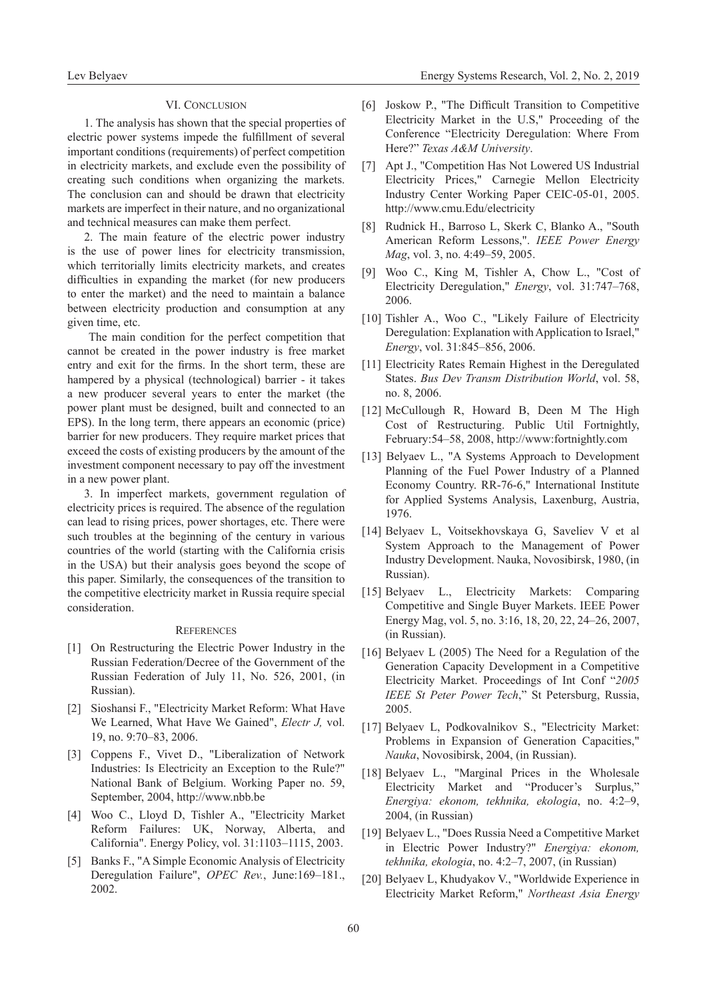# VI. CONCLUSION

1. The analysis has shown that the special properties of electric power systems impede the fulfillment of several important conditions (requirements) of perfect competition in electricity markets, and exclude even the possibility of creating such conditions when organizing the markets. The conclusion can and should be drawn that electricity markets are imperfect in their nature, and no organizational and technical measures can make them perfect.

2. The main feature of the electric power industry is the use of power lines for electricity transmission, which territorially limits electricity markets, and creates difficulties in expanding the market (for new producers to enter the market) and the need to maintain a balance between electricity production and consumption at any given time, etc.

 The main condition for the perfect competition that cannot be created in the power industry is free market entry and exit for the firms. In the short term, these are hampered by a physical (technological) barrier - it takes a new producer several years to enter the market (the power plant must be designed, built and connected to an EPS). In the long term, there appears an economic (price) barrier for new producers. They require market prices that exceed the costs of existing producers by the amount of the investment component necessary to pay off the investment in a new power plant.

3. In imperfect markets, government regulation of electricity prices is required. The absence of the regulation can lead to rising prices, power shortages, etc. There were such troubles at the beginning of the century in various countries of the world (starting with the California crisis in the USA) but their analysis goes beyond the scope of this paper. Similarly, the consequences of the transition to the competitive electricity market in Russia require special consideration.

# **REFERENCES**

- [1] On Restructuring the Electric Power Industry in the Russian Federation/Decree of the Government of the Russian Federation of July 11, No. 526, 2001, (in Russian).
- [2] Sioshansi F., "Electricity Market Reform: What Have We Learned, What Have We Gained", *Electr J,* vol. 19, no. 9:70–83, 2006.
- [3] Coppens F., Vivet D., "Liberalization of Network Industries: Is Electricity an Exception to the Rule?" National Bank of Belgium. Working Paper no. 59, September, 2004, http://www.nbb.be
- [4] Woo C., Lloyd D, Tishler A., "Electricity Market Reform Failures: UK, Norway, Alberta, and California". Energy Policy, vol. 31:1103–1115, 2003.
- [5] Banks F., "A Simple Economic Analysis of Electricity Deregulation Failure", *OPEC Rev.*, June:169–181., 2002.
- [6] Joskow P., "The Difficult Transition to Competitive Electricity Market in the U.S," Proceeding of the Conference "Electricity Deregulation: Where From Here?" *Texas A&M University*.
- [7] Apt J., "Competition Has Not Lowered US Industrial Electricity Prices," Carnegie Mellon Electricity Industry Center Working Paper CEIC-05-01, 2005. http://www.cmu.Edu/electricity
- [8] Rudnick H., Barroso L, Skerk C, Blanko A., "South American Reform Lessons,". *IEEE Power Energy Mag*, vol. 3, no. 4:49–59, 2005.
- [9] Woo C., King M, Tishler A, Chow L., "Cost of Electricity Deregulation," *Energy*, vol. 31:747–768, 2006.
- [10] Tishler A., Woo C., "Likely Failure of Electricity Deregulation: Explanation with Application to Israel," *Energy*, vol. 31:845–856, 2006.
- [11] Electricity Rates Remain Highest in the Deregulated States. *Bus Dev Transm Distribution World*, vol. 58, no. 8, 2006.
- [12] McCullough R, Howard B, Deen M The High Cost of Restructuring. Public Util Fortnightly, February:54–58, 2008, http://www:fortnightly.com
- [13] Belyaev L., "A Systems Approach to Development Planning of the Fuel Power Industry of a Planned Economy Country. RR-76-6," International Institute for Applied Systems Analysis, Laxenburg, Austria, 1976.
- [14] Belyaev L, Voitsekhovskaya G, Saveliev V et al System Approach to the Management of Power Industry Development. Nauka, Novosibirsk, 1980, (in Russian).
- [15] Belyaev L., Electricity Markets: Comparing Competitive and Single Buyer Markets. IEEE Power Energy Mag, vol. 5, no. 3:16, 18, 20, 22, 24–26, 2007, (in Russian).
- [16] Belyaev L (2005) The Need for a Regulation of the Generation Capacity Development in a Competitive Electricity Market. Proceedings of Int Conf "*2005 IEEE St Peter Power Tech*," St Petersburg, Russia, 2005.
- [17] Belyaev L, Podkovalnikov S., "Electricity Market: Problems in Expansion of Generation Capacities," *Nauka*, Novosibirsk, 2004, (in Russian).
- [18] Belyaev L., "Marginal Prices in the Wholesale Electricity Market and "Producer's Surplus," *Energiya: ekonom, tekhnika, ekologia*, no. 4:2–9, 2004, (in Russian)
- [19] Belyaev L., "Does Russia Need a Competitive Market in Electric Power Industry?" *Energiya: ekonom, tekhnika, ekologia*, no. 4:2–7, 2007, (in Russian)
- [20] Belyaev L, Khudyakov V., "Worldwide Experience in Electricity Market Reform," *Northeast Asia Energy*